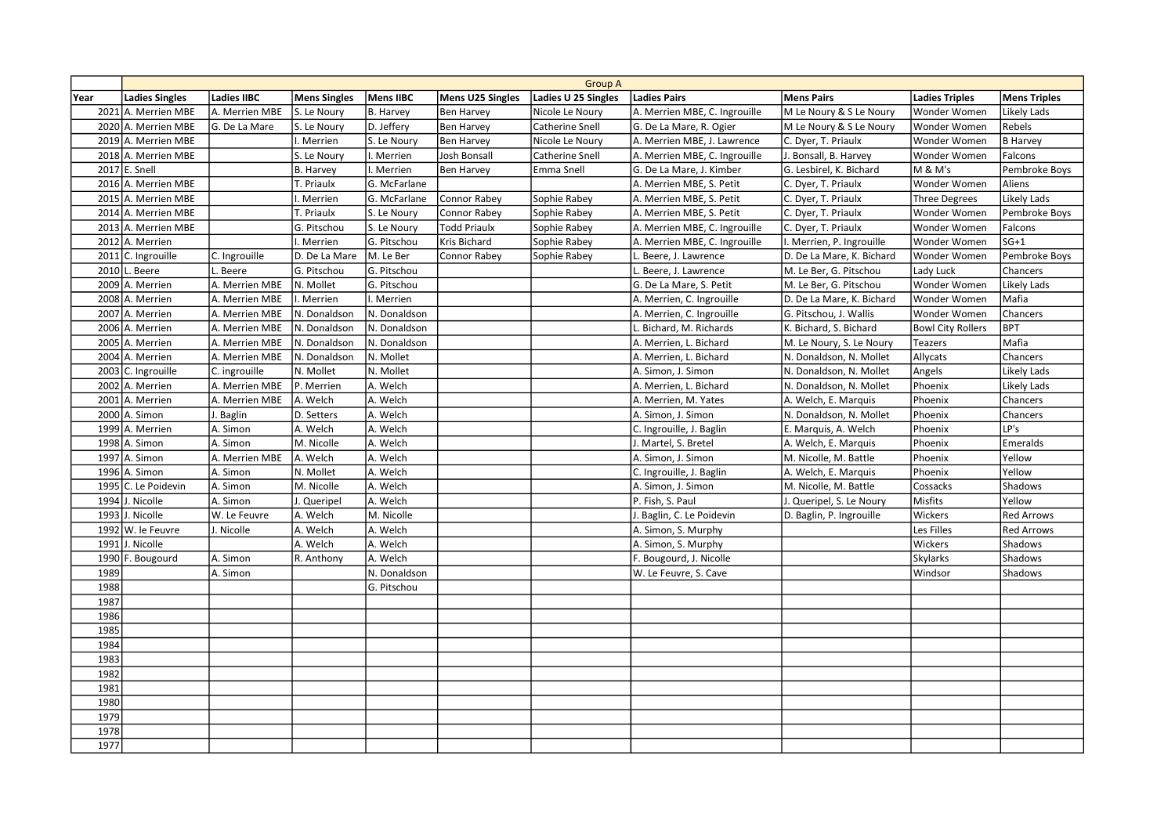|      | <b>Group A</b>        |                    |                     |                  |                         |                     |                               |                           |                          |                     |
|------|-----------------------|--------------------|---------------------|------------------|-------------------------|---------------------|-------------------------------|---------------------------|--------------------------|---------------------|
| Year | <b>Ladies Singles</b> | <b>Ladies IIBC</b> | <b>Mens Singles</b> | Mens IIBC        | <b>Mens U25 Singles</b> | Ladies U 25 Singles | <b>Ladies Pairs</b>           | Mens Pairs                | Ladies Triples           | <b>Mens Triples</b> |
|      | 2021 A. Merrien MBE   | A. Merrien MBE     | S. Le Noury         | <b>B.</b> Harvey | <b>Ben Harvey</b>       | Nicole Le Noury     | A. Merrien MBE, C. Ingrouille | M Le Noury & S Le Noury   | Wonder Women             | Likely Lads         |
|      | 2020 A. Merrien MBE   | G. De La Mare      | S. Le Noury         | D. Jeffery       | <b>Ben Harvey</b>       | Catherine Snell     | G. De La Mare, R. Ogier       | M Le Noury & S Le Noury   | Wonder Women             | Rebels              |
|      | 2019 A. Merrien MBE   |                    | . Merrien           | S. Le Noury      | <b>Ben Harvey</b>       | Nicole Le Noury     | A. Merrien MBE, J. Lawrence   | C. Dyer, T. Priaulx       | Wonder Women             | <b>B</b> Harvey     |
|      | 2018 A. Merrien MBE   |                    | S. Le Noury         | I. Merrien       | Josh Bonsall            | Catherine Snell     | A. Merrien MBE, C. Ingrouille | J. Bonsall, B. Harvey     | Wonder Women             | Falcons             |
|      | 2017 E. Snell         |                    | <b>B.</b> Harvey    | I. Merrien       | <b>Ben Harvey</b>       | Emma Snell          | G. De La Mare, J. Kimber      | G. Lesbirel, K. Bichard   | M & M's                  | Pembroke Boys       |
|      | 2016 A. Merrien MBE   |                    | T. Priaulx          | G. McFarlane     |                         |                     | A. Merrien MBE, S. Petit      | C. Dyer, T. Priaulx       | Wonder Women             | Aliens              |
|      | 2015 A. Merrien MBE   |                    | . Merrien           | G. McFarlane     | Connor Rabey            | Sophie Rabey        | A. Merrien MBE, S. Petit      | C. Dyer, T. Priaulx       | <b>Three Degrees</b>     | Likely Lads         |
|      | 2014 A. Merrien MBE   |                    | T. Priaulx          | S. Le Noury      | Connor Rabey            | Sophie Rabey        | A. Merrien MBE, S. Petit      | C. Dyer, T. Priaulx       | Wonder Women             | Pembroke Boys       |
|      | 2013 A. Merrien MBE   |                    | G. Pitschou         | S. Le Noury      | <b>Todd Priaulx</b>     | Sophie Rabey        | A. Merrien MBE, C. Ingrouille | C. Dyer, T. Priaulx       | Wonder Women             | Falcons             |
|      | 2012 A. Merrien       |                    | I. Merrien          | G. Pitschou      | Kris Bichard            | Sophie Rabey        | A. Merrien MBE, C. Ingrouille | I. Merrien, P. Ingrouille | Wonder Women             | $SG+1$              |
|      | 2011 C. Ingrouille    | C. Ingrouille      | D. De La Mare       | M. Le Ber        | Connor Rabey            | Sophie Rabey        | L. Beere, J. Lawrence         | D. De La Mare, K. Bichard | Wonder Women             | Pembroke Boys       |
|      | 2010 L. Beere         | . Beere            | G. Pitschou         | G. Pitschou      |                         |                     | Beere, J. Lawrence            | M. Le Ber, G. Pitschou    | Lady Luck                | Chancers            |
|      | 2009 A. Merrien       | A. Merrien MBE     | N. Mollet           | G. Pitschou      |                         |                     | G. De La Mare, S. Petit       | M. Le Ber, G. Pitschou    | Wonder Women             | Likely Lads         |
|      | 2008 A. Merrien       | A. Merrien MBE     | I. Merrien          | I. Merrien       |                         |                     | A. Merrien, C. Ingrouille     | D. De La Mare, K. Bichard | Wonder Women             | Mafia               |
|      | 2007 A. Merrien       | A. Merrien MBE     | N. Donaldson        | N. Donaldson     |                         |                     | A. Merrien, C. Ingrouille     | G. Pitschou, J. Wallis    | Wonder Women             | Chancers            |
|      | 2006 A. Merrien       | A. Merrien MBE     | N. Donaldson        | N. Donaldson     |                         |                     | Bichard, M. Richards          | K. Bichard, S. Bichard    | <b>Bowl City Rollers</b> | <b>BPT</b>          |
|      | 2005 A. Merrien       | A. Merrien MBE     | N. Donaldson        | N. Donaldson     |                         |                     | A. Merrien, L. Bichard        | M. Le Noury, S. Le Noury  | Teazers                  | Mafia               |
|      | 2004 A. Merrien       | A. Merrien MBE     | N. Donaldson        | N. Mollet        |                         |                     | A. Merrien, L. Bichard        | N. Donaldson, N. Mollet   | Allycats                 | Chancers            |
|      | 2003 C. Ingrouille    | C. ingrouille      | N. Mollet           | N. Mollet        |                         |                     | A. Simon, J. Simon            | N. Donaldson, N. Mollet   | Angels                   | Likely Lads         |
|      | 2002 A. Merrien       | A. Merrien MBE     | P. Merrien          | A. Welch         |                         |                     | A. Merrien, L. Bichard        | N. Donaldson, N. Mollet   | Phoenix                  | Likely Lads         |
|      | 2001 A. Merrien       | A. Merrien MBE     | A. Welch            | A. Welch         |                         |                     | A. Merrien, M. Yates          | A. Welch, E. Marquis      | Phoenix                  | Chancers            |
|      | 2000 A. Simon         | . Baglin           | D. Setters          | A. Welch         |                         |                     | A. Simon, J. Simon            | N. Donaldson, N. Mollet   | Phoenix                  | Chancers            |
|      | 1999 A. Merrien       | A. Simon           | A. Welch            | A. Welch         |                         |                     | C. Ingrouille, J. Baglin      | E. Marquis, A. Welch      | Phoenix                  | LP's                |
|      | 1998 A. Simon         | A. Simon           | M. Nicolle          | A. Welch         |                         |                     | I. Martel, S. Bretel          | A. Welch, E. Marquis      | Phoenix                  | Emeralds            |
| 1997 | A. Simon              | A. Merrien MBE     | A. Welch            | A. Welch         |                         |                     | A. Simon, J. Simon            | M. Nicolle, M. Battle     | Phoenix                  | Yellow              |
|      | 1996 A. Simon         | A. Simon           | N. Mollet           | A. Welch         |                         |                     | C. Ingrouille, J. Baglin      | A. Welch, E. Marquis      | Phoenix                  | Yellow              |
|      | 1995 C. Le Poidevin   | A. Simon           | M. Nicolle          | A. Welch         |                         |                     | A. Simon, J. Simon            | M. Nicolle, M. Battle     | Cossacks                 | Shadows             |
|      | 1994 J. Nicolle       | A. Simon           | J. Queripel         | A. Welch         |                         |                     | P. Fish, S. Paul              | J. Queripel, S. Le Noury  | Misfits                  | Yellow              |
|      | 1993 J. Nicolle       | W. Le Feuvre       | A. Welch            | M. Nicolle       |                         |                     | Baglin, C. Le Poidevin        | D. Baglin, P. Ingrouille  | Wickers                  | <b>Red Arrows</b>   |
|      | 1992 W. le Feuvre     | J. Nicolle         | A. Welch            | A. Welch         |                         |                     | A. Simon, S. Murphy           |                           | Les Filles               | <b>Red Arrows</b>   |
|      | $1991$ J. Nicolle     |                    | A. Welch            | A. Welch         |                         |                     | A. Simon, S. Murphy           |                           | Wickers                  | Shadows             |
|      | 1990 F. Bougourd      | A. Simon           | R. Anthony          | A. Welch         |                         |                     | F. Bougourd, J. Nicolle       |                           | <b>Skylarks</b>          | Shadows             |
| 1989 |                       | A. Simon           |                     | N. Donaldson     |                         |                     | W. Le Feuvre, S. Cave         |                           | Windsor                  | Shadows             |
| 1988 |                       |                    |                     | G. Pitschou      |                         |                     |                               |                           |                          |                     |
| 1987 |                       |                    |                     |                  |                         |                     |                               |                           |                          |                     |
| 1986 |                       |                    |                     |                  |                         |                     |                               |                           |                          |                     |
| 1985 |                       |                    |                     |                  |                         |                     |                               |                           |                          |                     |
| 1984 |                       |                    |                     |                  |                         |                     |                               |                           |                          |                     |
| 1983 |                       |                    |                     |                  |                         |                     |                               |                           |                          |                     |
| 1982 |                       |                    |                     |                  |                         |                     |                               |                           |                          |                     |
| 1981 |                       |                    |                     |                  |                         |                     |                               |                           |                          |                     |
| 1980 |                       |                    |                     |                  |                         |                     |                               |                           |                          |                     |
| 1979 |                       |                    |                     |                  |                         |                     |                               |                           |                          |                     |
| 1978 |                       |                    |                     |                  |                         |                     |                               |                           |                          |                     |
| 1977 |                       |                    |                     |                  |                         |                     |                               |                           |                          |                     |